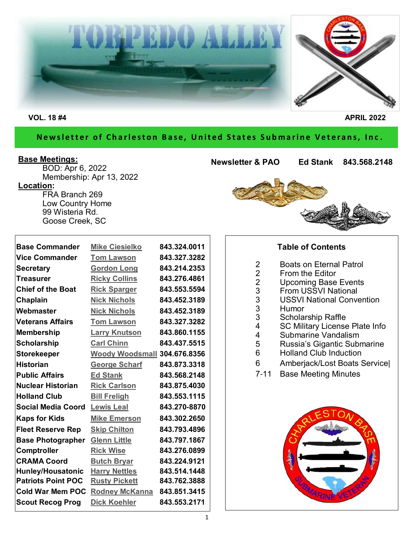

#### Newsletter of Charleston Base, United States Submarine Veterans, Inc.

#### **Base Meetings:**

BOD: Apr 6, 2022 Membership: Apr 13, 2022 **Location:** FRA Branch 269 Low Country Home 99 Wisteria Rd.

Goose Creek, SC

**Newsletter & PAO Ed Stank 843.568.2148**

| <b>Base Commander</b>     | <b>Mike Ciesielko</b>        | 843.324.0011 |
|---------------------------|------------------------------|--------------|
| <b>Vice Commander</b>     | <b>Tom Lawson</b>            | 843.327.3282 |
| <b>Secretary</b>          | <b>Gordon Long</b>           | 843.214.2353 |
| <b>Treasurer</b>          | <b>Ricky Collins</b>         | 843.276.4861 |
| <b>Chief of the Boat</b>  | <b>Rick Sparger</b>          | 843.553.5594 |
| Chaplain                  | <b>Nick Nichols</b>          | 843.452.3189 |
| Webmaster                 | <b>Nick Nichols</b>          | 843.452.3189 |
| <b>Veterans Affairs</b>   | <b>Tom Lawson</b>            | 843.327.3282 |
| <b>Membership</b>         | <b>Larry Knutson</b>         | 843.860.1155 |
| <b>Scholarship</b>        | <b>Carl Chinn</b>            | 843.437.5515 |
| <b>Storekeeper</b>        | Woody Woodsmall 304.676.8356 |              |
| <b>Historian</b>          | <b>George Scharf</b>         | 843.873.3318 |
| <b>Public Affairs</b>     | <b>Ed Stank</b>              | 843.568.2148 |
| <b>Nuclear Historian</b>  | <b>Rick Carlson</b>          | 843.875.4030 |
| <b>Holland Club</b>       | <b>Bill Freligh</b>          | 843.553.1115 |
| <b>Social Media Coord</b> | <b>Lewis Leal</b>            | 843.270-8870 |
| <b>Kaps for Kids</b>      | <b>Mike Emerson</b>          | 843.302.2650 |
| <b>Fleet Reserve Rep</b>  | <b>Skip Chilton</b>          | 843.793.4896 |
| <b>Base Photographer</b>  | <b>Glenn Little</b>          | 843.797.1867 |
| <b>Comptroller</b>        | <b>Rick Wise</b>             | 843.276.0899 |
| <b>CRAMA Coord</b>        | <b>Butch Bryar</b>           | 843.224.9121 |
| Hunley/Housatonic         | <b>Harry Nettles</b>         | 843.514.1448 |
| <b>Patriots Point POC</b> | <b>Rusty Pickett</b>         | 843.762.3888 |
| <b>Cold War Mem POC</b>   | <b>Rodney McKanna</b>        | 843.851.3415 |
| <b>Scout Recog Prog</b>   | <b>Dick Koehler</b>          | 843.553.2171 |



#### **Table of Contents**

- 2 Boats on Eternal Patrol<br>2 From the Editor
- 2 From the Editor<br>2 Upcoming Base
- 2 Upcoming Base Events<br>3 From USSVI National
- 3 From USSVI National<br>3 USSVI National Conve
- 3 USSVI National Convention
- 3 Humor<br>3 Scholar
- 3 Scholarship Raffle<br>4 SC Military License
- 4 SC Military License Plate Info<br>4 Submarine Vandalism
- 4 Submarine Vandalism<br>5 Russia's Gigantic Subr
- 5 Russia's Gigantic Submarine
- 6 Holland Club Induction
- 6 Amberjack/Lost Boats Service|
- 7-11 Base Meeting Minutes

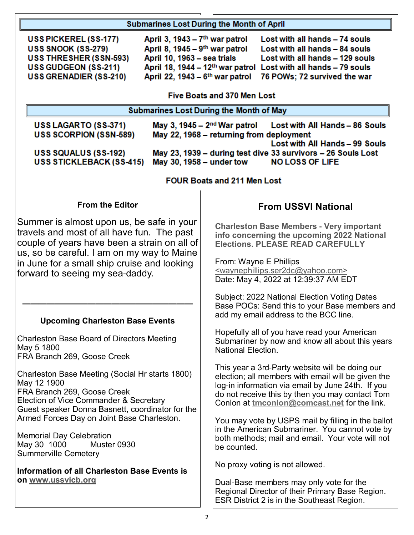|                                                                                                                                                                                                                                                                                                                                                                                                                        | <b>Submarines Lost During the Month of April</b>                                                                                                                                                                                                                                                                |                                                                                                                                                                                                                                                                                                                                                                                                                                          |  |  |
|------------------------------------------------------------------------------------------------------------------------------------------------------------------------------------------------------------------------------------------------------------------------------------------------------------------------------------------------------------------------------------------------------------------------|-----------------------------------------------------------------------------------------------------------------------------------------------------------------------------------------------------------------------------------------------------------------------------------------------------------------|------------------------------------------------------------------------------------------------------------------------------------------------------------------------------------------------------------------------------------------------------------------------------------------------------------------------------------------------------------------------------------------------------------------------------------------|--|--|
|                                                                                                                                                                                                                                                                                                                                                                                                                        | April 3, 1943 - 7 <sup>th</sup> war patrol<br>USS PICKEREL (SS-177)<br>April 8, 1945 - 9 <sup>th</sup> war patrol<br>USS SNOOK (SS-279)<br>USS THRESHER (SSN-593)<br>April 10, 1963 - sea trials<br><b>USS GUDGEON (SS-211)</b><br>April 22, 1943 - 6 <sup>th</sup> war patrol<br><b>USS GRENADIER (SS-210)</b> | Lost with all hands - 74 souls<br>Lost with all hands - 84 souls<br>Lost with all hands - 129 souls<br>April 18, 1944 - 12 <sup>th</sup> war patrol Lost with all hands - 79 souls<br>76 POWs; 72 survived the war                                                                                                                                                                                                                       |  |  |
|                                                                                                                                                                                                                                                                                                                                                                                                                        | <b>Five Boats and 370 Men Lost</b><br><b>Submarines Lost During the Month of May</b>                                                                                                                                                                                                                            |                                                                                                                                                                                                                                                                                                                                                                                                                                          |  |  |
|                                                                                                                                                                                                                                                                                                                                                                                                                        |                                                                                                                                                                                                                                                                                                                 |                                                                                                                                                                                                                                                                                                                                                                                                                                          |  |  |
|                                                                                                                                                                                                                                                                                                                                                                                                                        | USS LAGARTO (SS-371)<br><b>USS SCORPION (SSN-589)</b><br>USS SQUALUS (SS-192)<br><b>USS STICKLEBACK (SS-415)</b>                                                                                                                                                                                                | May 3, 1945 – $2nd$ War patrol<br>Lost with All Hands - 86 Souls<br>May 22, 1968 - returning from deployment<br>Lost with All Hands - 99 Souls<br>May 23, 1939 - during test dive 33 survivors - 26 Souls Lost<br>May 30, 1958 - under tow<br><b>NO LOSS OF LIFE</b>                                                                                                                                                                     |  |  |
| <b>FOUR Boats and 211 Men Lost</b>                                                                                                                                                                                                                                                                                                                                                                                     |                                                                                                                                                                                                                                                                                                                 |                                                                                                                                                                                                                                                                                                                                                                                                                                          |  |  |
|                                                                                                                                                                                                                                                                                                                                                                                                                        | <b>From the Editor</b>                                                                                                                                                                                                                                                                                          | <b>From USSVI National</b>                                                                                                                                                                                                                                                                                                                                                                                                               |  |  |
| Summer is almost upon us, be safe in your<br>travels and most of all have fun. The past<br>couple of years have been a strain on all of<br>us, so be careful. I am on my way to Maine<br>in June for a small ship cruise and looking<br>forward to seeing my sea-daddy.                                                                                                                                                |                                                                                                                                                                                                                                                                                                                 | <b>Charleston Base Members - Very important</b><br>info concerning the upcoming 2022 National<br><b>Elections. PLEASE READ CAREFULLY</b><br>From: Wayne E Phillips<br><waynephillips.ser2dc@yahoo.com><br/>Date: May 4, 2022 at 12:39:37 AM EDT<br/>Subject: 2022 National Election Voting Dates<br/>Base POCs: Send this to your Base members and</waynephillips.ser2dc@yahoo.com>                                                      |  |  |
|                                                                                                                                                                                                                                                                                                                                                                                                                        | <b>Upcoming Charleston Base Events</b>                                                                                                                                                                                                                                                                          | add my email address to the BCC line.                                                                                                                                                                                                                                                                                                                                                                                                    |  |  |
|                                                                                                                                                                                                                                                                                                                                                                                                                        | <b>Charleston Base Board of Directors Meeting</b><br>May 5 1800<br>FRA Branch 269, Goose Creek                                                                                                                                                                                                                  | Hopefully all of you have read your American<br>Submariner by now and know all about this years<br><b>National Election.</b>                                                                                                                                                                                                                                                                                                             |  |  |
| Charleston Base Meeting (Social Hr starts 1800)<br>May 12 1900<br>FRA Branch 269, Goose Creek<br>Election of Vice Commander & Secretary<br>Guest speaker Donna Basnett, coordinator for the<br>Armed Forces Day on Joint Base Charleston.<br><b>Memorial Day Celebration</b><br>May 30 1000<br>Muster 0930<br><b>Summerville Cemetery</b><br><b>Information of all Charleston Base Events is</b><br>on www.ussvicb.org |                                                                                                                                                                                                                                                                                                                 | This year a 3rd-Party website will be doing our<br>election; all members with email will be given the<br>log-in information via email by June 24th. If you<br>do not receive this by then you may contact Tom<br>Conlon at tmconlon@comcast.net for the link.<br>You may vote by USPS mail by filling in the ballot<br>in the American Submariner. You cannot vote by<br>both methods; mail and email. Your vote will not<br>be counted. |  |  |
|                                                                                                                                                                                                                                                                                                                                                                                                                        |                                                                                                                                                                                                                                                                                                                 | No proxy voting is not allowed.<br>Dual-Base members may only vote for the<br>Regional Director of their Primary Base Region.<br>ESR District 2 is in the Southeast Region.                                                                                                                                                                                                                                                              |  |  |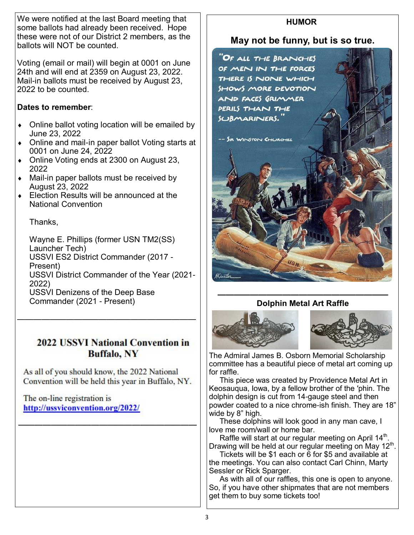We were notified at the last Board meeting that some ballots had already been received. Hope these were not of our District 2 members, as the ballots will NOT be counted.

Voting (email or mail) will begin at 0001 on June 24th and will end at 2359 on August 23, 2022. Mail-in ballots must be received by August 23, 2022 to be counted.

#### **Dates to remember**:

- Online ballot voting location will be emailed by June 23, 2022
- Online and mail-in paper ballot Voting starts at 0001 on June 24, 2022
- Online Voting ends at 2300 on August 23, 2022
- Mail-in paper ballots must be received by August 23, 2022
- Election Results will be announced at the National Convention

Thanks,

Wayne E. Phillips (former USN TM2(SS) Launcher Tech) USSVI ES2 District Commander (2017 - Present) USSVI District Commander of the Year (2021- 2022) USSVI Denizens of the Deep Base Commander (2021 - Present)

## **2022 USSVI National Convention in Buffalo, NY**

As all of you should know, the 2022 National Convention will be held this year in Buffalo, NY.

**——————————————————————**

——————————————————————

The on-line registration is http://ussviconvention.org/2022/

### **HUMOR**

#### **May not be funny, but is so true.**



#### **————————————————————— Dolphin Metal Art Raffle**



The Admiral James B. Osborn Memorial Scholarship committee has a beautiful piece of metal art coming up for raffle.

 This piece was created by Providence Metal Art in Keosauqua, Iowa, by a fellow brother of the ′phin. The dolphin design is cut from 14-gauge steel and then powder coated to a nice chrome-ish finish. They are 18" wide by 8" high.

 These dolphins will look good in any man cave, I love me room/wall or home bar.

Raffle will start at our regular meeting on April 14 $^{\rm th}$ . Drawing will be held at our regular meeting on May 12<sup>th</sup>.

 Tickets will be \$1 each or 6 for \$5 and available at the meetings. You can also contact Carl Chinn, Marty Sessler or Rick Sparger.

 As with all of our raffles, this one is open to anyone. So, if you have other shipmates that are not members get them to buy some tickets too!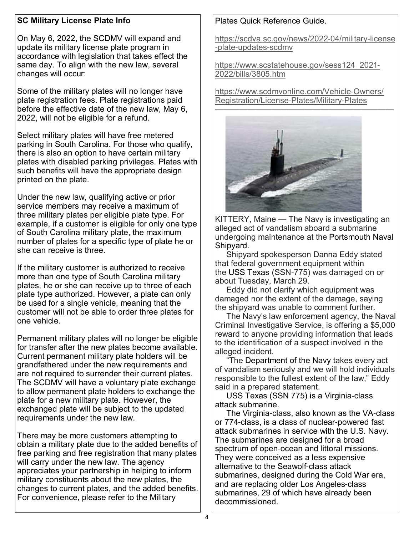#### **SC Military License Plate Info**

On May 6, 2022, the SCDMV will expand and update its military license plate program in accordance with legislation that takes effect the same day. To align with the new law, several changes will occur:

Some of the military plates will no longer have plate registration fees. Plate registrations paid before the effective date of the new law, May 6, 2022, will not be eligible for a refund.

Select military plates will have free metered parking in South Carolina. For those who qualify, there is also an option to have certain military plates with disabled parking privileges. Plates with such benefits will have the appropriate design printed on the plate.

Under the new law, qualifying active or prior service members may receive a maximum of three military plates per eligible plate type. For example, if a customer is eligible for only one type of South Carolina military plate, the maximum number of plates for a specific type of plate he or she can receive is three.

If the military customer is authorized to receive more than one type of South Carolina military plates, he or she can receive up to three of each plate type authorized. However, a plate can only be used for a single vehicle, meaning that the customer will not be able to order three plates for one vehicle.

Permanent military plates will no longer be eligible for transfer after the new plates become available. Current permanent military plate holders will be grandfathered under the new requirements and are not required to surrender their current plates. The SCDMV will have a voluntary plate exchange to allow permanent plate holders to exchange the plate for a new military plate. However, the exchanged plate will be subject to the updated requirements under the new law.

There may be more customers attempting to obtain a military plate due to the added benefits of free parking and free registration that many plates will carry under the new law. The agency appreciates your partnership in helping to inform military constituents about the new plates, the changes to current plates, and the added benefits. For convenience, please refer to the Military

#### Plates Quick Reference Guide.

[https://scdva.sc.gov/news/2022-04/military-license](https://scdva.sc.gov/news/2022-04/military-license-plate-updates-scdmv) [-plate-updates-scdmv](https://scdva.sc.gov/news/2022-04/military-license-plate-updates-scdmv)

[https://www.scstatehouse.gov/sess124\\_2021-](https://www.scstatehouse.gov/sess124_2021-2022/bills/3805.htm) [2022/bills/3805.htm](https://www.scstatehouse.gov/sess124_2021-2022/bills/3805.htm)

[https://www.scdmvonline.com/Vehicle-Owners/](https://www.scdmvonline.com/Vehicle-Owners/Registration/License-Plates/Military-Plates) [Registration/License-Plates/Military-Plates](https://www.scdmvonline.com/Vehicle-Owners/Registration/License-Plates/Military-Plates)



KITTERY, Maine — The Navy is investigating an alleged act of vandalism aboard a submarine undergoing maintenance at the Portsmouth Naval Shipyard.

 Shipyard spokesperson Danna Eddy stated that federal government equipment within the USS Texas (SSN-775) was damaged on or about Tuesday, March 29.

 Eddy did not clarify which equipment was damaged nor the extent of the damage, saying the shipyard was unable to comment further.

 The Navy's law enforcement agency, the Naval Criminal Investigative Service, is offering a \$5,000 reward to anyone providing information that leads to the identification of a suspect involved in the alleged incident.

 "The Department of the Navy takes every act of vandalism seriously and we will hold individuals responsible to the fullest extent of the law," Eddy said in a prepared statement.

 USS Texas (SSN 775) is a Virginia-class attack submarine.

 The Virginia-class, also known as the VA-class or 774-class, is a class of nuclear-powered fast attack submarines in service with the U.S. Navy. The submarines are designed for a broad spectrum of open-ocean and littoral missions. They were conceived as a less expensive alternative to the Seawolf-class attack submarines, designed during the Cold War era, and are replacing older Los Angeles-class submarines, 29 of which have already been decommissioned.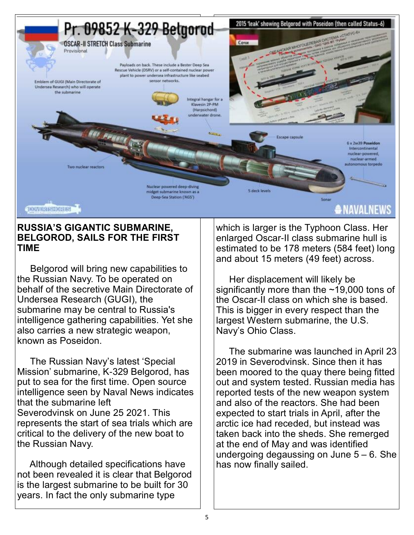

#### **RUSSIA'S GIGANTIC SUBMARINE, BELGOROD, SAILS FOR THE FIRST TIME**

 Belgorod will bring new capabilities to the Russian Navy. To be operated on behalf of the secretive Main Directorate of Undersea Research (GUGI), the submarine may be central to Russia's intelligence gathering capabilities. Yet she also carries a new strategic weapon, known as Poseidon.

 The Russian Navy's latest 'Special Mission' submarine, K-329 Belgorod, has put to sea for the first time. Open source intelligence seen by Naval News indicates that the submarine left Severodvinsk on June 25 2021. This represents the start of sea trials which are critical to the delivery of the new boat to the Russian Navy.

 Although detailed specifications have not been revealed it is clear that Belgorod is the largest submarine to be built for 30 years. In fact the only submarine type

which is larger is the Typhoon Class. Her enlarged Oscar-II class submarine hull is estimated to be 178 meters (584 feet) long and about 15 meters (49 feet) across.

 Her displacement will likely be significantly more than the ~19,000 tons of the Oscar-II class on which she is based. This is bigger in every respect than the largest Western submarine, the U.S. Navy's Ohio Class.

 The submarine was launched in April 23 2019 in Severodvinsk. Since then it has been moored to the quay there being fitted out and system tested. Russian media has reported tests of the new weapon system and also of the reactors. She had been expected to start trials in April, after the arctic ice had receded, but instead was taken back into the sheds. She remerged at the end of May and was identified undergoing degaussing on June 5 – 6. She has now finally sailed.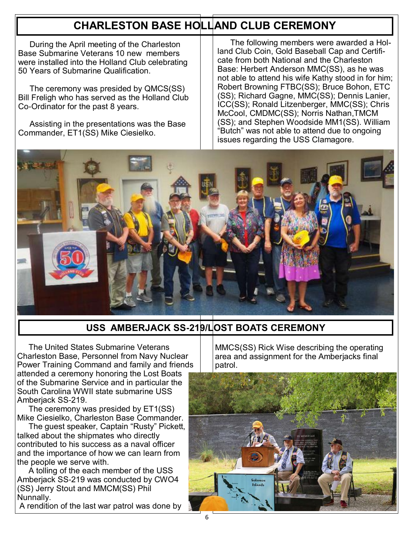# **CHARLESTON BASE HOLLAND CLUB CEREMONY**

 During the April meeting of the Charleston Base Submarine Veterans 10 new members were installed into the Holland Club celebrating 50 Years of Submarine Qualification.

 The ceremony was presided by QMCS(SS) Bill Freligh who has served as the Holland Club Co-Ordinator for the past 8 years.

 Assisting in the presentations was the Base Commander, ET1(SS) Mike Ciesielko.

 The following members were awarded a Holland Club Coin, Gold Baseball Cap and Certificate from both National and the Charleston Base: Herbert Anderson MMC(SS), as he was not able to attend his wife Kathy stood in for him; Robert Browning FTBC(SS); Bruce Bohon, ETC (SS); Richard Gagne, MMC(SS); Dennis Lanier, ICC(SS); Ronald Litzenberger, MMC(SS); Chris McCool, CMDMC(SS); Norris Nathan,TMCM (SS); and Stephen Woodside MM1(SS). William "Butch" was not able to attend due to ongoing issues regarding the USS Clamagore.



## **USS AMBERJACK SS-219/LOST BOATS CEREMONY**

 The United States Submarine Veterans Charleston Base, Personnel from Navy Nuclear Power Training Command and family and friends attended a ceremony honoring the Lost Boats of the Submarine Service and in particular the South Carolina WWII state submarine USS Amberjack SS-219.

 The ceremony was presided by ET1(SS) Mike Ciesielko, Charleston Base Commander.

 The guest speaker, Captain "Rusty" Pickett, talked about the shipmates who directly contributed to his success as a naval officer and the importance of how we can learn from the people we serve with.

 A tolling of the each member of the USS Amberjack SS-219 was conducted by CWO4 (SS) Jerry Stout and MMCM(SS) Phil Nunnally.

A rendition of the last war patrol was done by

MMCS(SS) Rick Wise describing the operating area and assignment for the Amberjacks final patrol.

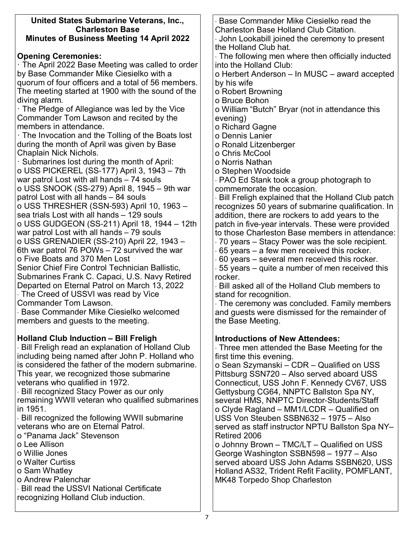| United States Submarine Veterans, Inc.,                                    | Base Commander Mike Ciesielko read the                                                         |
|----------------------------------------------------------------------------|------------------------------------------------------------------------------------------------|
| <b>Charleston Base</b><br><b>Minutes of Business Meeting 14 April 2022</b> | <b>Charleston Base Holland Club Citation.</b><br>John Lookabill joined the ceremony to present |
|                                                                            | the Holland Club hat.                                                                          |
| <b>Opening Ceremonies:</b>                                                 | The following men where then officially inducted                                               |
| · The April 2022 Base Meeting was called to order                          | into the Holland Club:                                                                         |
| by Base Commander Mike Ciesielko with a                                    | o Herbert Anderson - In MUSC - award accepted                                                  |
| quorum of four officers and a total of 56 members.                         | by his wife                                                                                    |
| The meeting started at 1900 with the sound of the                          | o Robert Browning                                                                              |
| diving alarm.                                                              | o Bruce Bohon                                                                                  |
| The Pledge of Allegiance was led by the Vice                               | o William "Butch" Bryar (not in attendance this                                                |
| Commander Tom Lawson and recited by the<br>members in attendance.          | evening)                                                                                       |
| The Invocation and the Tolling of the Boats lost                           | o Richard Gagne<br>o Dennis Lanier                                                             |
| during the month of April was given by Base                                | o Ronald Litzenberger                                                                          |
| Chaplain Nick Nichols.                                                     | o Chris McCool                                                                                 |
| · Submarines lost during the month of April:                               | o Norris Nathan                                                                                |
| o USS PICKEREL (SS-177) April 3, 1943 - 7th                                | o Stephen Woodside                                                                             |
| war patrol Lost with all hands - 74 souls                                  | PAO Ed Stank took a group photograph to                                                        |
| o USS SNOOK (SS-279) April 8, 1945 – 9th war                               | commemorate the occasion.                                                                      |
| patrol Lost with all hands - 84 souls                                      | Bill Freligh explained that the Holland Club patch                                             |
| o USS THRESHER (SSN-593) April 10, 1963 -                                  | recognizes 50 years of submarine qualification. In                                             |
| sea trials Lost with all hands - 129 souls                                 | addition, there are rockers to add years to the                                                |
| o USS GUDGEON (SS-211) April 18, 1944 – 12th                               | patch in five-year intervals. These were provided                                              |
| war patrol Lost with all hands - 79 souls                                  | to those Charleston Base members in attendance:                                                |
| o USS GRENADIER (SS-210) April 22, 1943 -                                  | 70 years – Stacy Power was the sole recipient.                                                 |
| 6th war patrol 76 POWs - 72 survived the war                               | $\cdot$ 65 years – a few men received this rocker.                                             |
| o Five Boats and 370 Men Lost                                              | 60 years – several men received this rocker.                                                   |
| Senior Chief Fire Control Technician Ballistic,                            | 55 years – quite a number of men received this                                                 |
| Submarines Frank C. Capaci, U.S. Navy Retired                              | rocker.                                                                                        |
| Departed on Eternal Patrol on March 13, 2022                               | Bill asked all of the Holland Club members to                                                  |
| The Creed of USSVI was read by Vice<br><b>Commander Tom Lawson.</b>        | stand for recognition.                                                                         |
| Base Commander Mike Ciesielko welcomed                                     | The ceremony was concluded. Family members<br>and guests were dismissed for the remainder of   |
| members and guests to the meeting.                                         | the Base Meeting.                                                                              |
|                                                                            |                                                                                                |
| <b>Holland Club Induction - Bill Freligh</b>                               | <b>Introductions of New Attendees:</b>                                                         |
| Bill Freligh read an explanation of Holland Club                           | Three men attended the Base Meeting for the                                                    |
| including being named after John P. Holland who                            | first time this evening.                                                                       |
| is considered the father of the modern submarine.                          | o Sean Szymanski – CDR – Qualified on USS                                                      |
| This year, we recognized those submarine                                   | Pittsburg SSN720 - Also served aboard USS                                                      |
| veterans who qualified in 1972.                                            | Connecticut, USS John F. Kennedy CV67, USS                                                     |
| <b>Bill recognized Stacy Power as our only</b>                             | Gettysburg CG64, NNPTC Ballston Spa NY,                                                        |
| remaining WWII veteran who qualified submarines                            | several HMS, NNPTC Director-Students/Staff                                                     |
| in 1951.                                                                   | o Clyde Ragland - MM1/LCDR - Qualified on                                                      |
| Bill recognized the following WWII submarine                               | USS Von Steuben SSBN632 - 1975 - Also                                                          |
| veterans who are on Eternal Patrol.                                        | served as staff instructor NPTU Ballston Spa NY-                                               |
| o "Panama Jack" Stevenson                                                  | Retired 2006                                                                                   |
| o Lee Allison                                                              | o Johnny Brown - TMC/LT - Qualified on USS                                                     |
| o Willie Jones                                                             | George Washington SSBN598 - 1977 - Also                                                        |
| o Walter Curtiss                                                           | served aboard USS John Adams SSBN620, USS                                                      |
| o Sam Whatley                                                              | Holland AS32, Trident Refit Facility, POMFLANT,                                                |
| o Andrew Palenchar<br><b>Bill read the USSVI National Certificate</b>      | MK48 Torpedo Shop Charleston                                                                   |
| recognizing Holland Club induction.                                        |                                                                                                |
|                                                                            |                                                                                                |
|                                                                            |                                                                                                |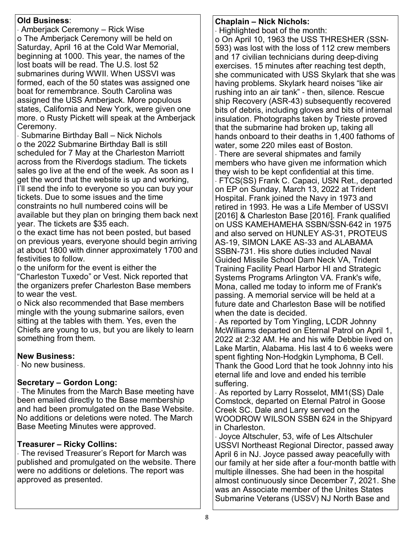#### **Old Business**:

· Amberjack Ceremony – Rick Wise o The Amberjack Ceremony will be held on Saturday, April 16 at the Cold War Memorial, beginning at 1000. This year, the names of the lost boats will be read. The U.S. lost 52 submarines during WWII. When USSVI was formed, each of the 50 states was assigned one boat for remembrance. South Carolina was assigned the USS Amberjack. More populous states, California and New York, were given one more. o Rusty Pickett will speak at the Amberjack Ceremony.

· Submarine Birthday Ball – Nick Nichols o the 2022 Submarine Birthday Ball is still scheduled for 7 May at the Charleston Marriott across from the Riverdogs stadium. The tickets sales go live at the end of the week. As soon as I get the word that the website is up and working, I'll send the info to everyone so you can buy your tickets. Due to some issues and the time constraints no hull numbered coins will be available but they plan on bringing them back next year. The tickets are \$35 each.

o the exact time has not been posted, but based on previous years, everyone should begin arriving at about 1800 with dinner approximately 1700 and festivities to follow.

o the uniform for the event is either the "Charleston Tuxedo" or Vest. Nick reported that the organizers prefer Charleston Base members to wear the vest.

o Nick also recommended that Base members mingle with the young submarine sailors, even sitting at the tables with them. Yes, even the Chiefs are young to us, but you are likely to learn something from them.

#### **New Business:**

· No new business.

#### **Secretary – Gordon Long:**

· The Minutes from the March Base meeting have been emailed directly to the Base membership and had been promulgated on the Base Website. No additions or deletions were noted. The March Base Meeting Minutes were approved.

#### **Treasurer – Ricky Collins:**

· The revised Treasurer's Report for March was published and promulgated on the website. There were no additions or deletions. The report was approved as presented.

#### **Chaplain – Nick Nichols:**

· Highlighted boat of the month:

o On April 10, 1963 the USS THRESHER (SSN-593) was lost with the loss of 112 crew members and 17 civilian technicians during deep-diving exercises. 15 minutes after reaching test depth, she communicated with USS Skylark that she was having problems. Skylark heard noises "like air rushing into an air tank" - then, silence. Rescue ship Recovery (ASR-43) subsequently recovered bits of debris, including gloves and bits of internal insulation. Photographs taken by Trieste proved that the submarine had broken up, taking all hands onboard to their deaths in 1,400 fathoms of water, some 220 miles east of Boston.

· There are several shipmates and family members who have given me information which they wish to be kept confidential at this time. · FTCS(SS) Frank C. Capaci, USN Ret., departed on EP on Sunday, March 13, 2022 at Trident Hospital. Frank joined the Navy in 1973 and retired in 1993. He was a Life Member of USSVI [2016] & Charleston Base [2016]. Frank qualified on USS KAMEHAMEHA SSBN/SSN-642 in 1975 and also served on HUNLEY AS-31, PROTEUS AS-19, SIMON LAKE AS-33 and ALABAMA SSBN-731. His shore duties included Naval Guided Missile School Dam Neck VA, Trident Training Facility Pearl Harbor HI and Strategic Systems Programs Arlington VA. Frank's wife, Mona, called me today to inform me of Frank's passing. A memorial service will be held at a future date and Charleston Base will be notified when the date is decided.

· As reported by Tom Yingling, LCDR Johnny McWilliams departed on Eternal Patrol on April 1, 2022 at 2:32 AM. He and his wife Debbie lived on Lake Martin, Alabama. His last 4 to 6 weeks were spent fighting Non-Hodgkin Lymphoma, B Cell. Thank the Good Lord that he took Johnny into his eternal life and love and ended his terrible suffering.

· As reported by Larry Rosselot, MM1(SS) Dale Comstock, departed on Eternal Patrol in Goose Creek SC. Dale and Larry served on the WOODROW WILSON SSBN 624 in the Shipyard in Charleston.

· Joyce Altschuler, 53, wife of Les Altschuler USSVI Northeast Regional Director, passed away April 6 in NJ. Joyce passed away peacefully with our family at her side after a four-month battle with multiple illnesses. She had been in the hospital almost continuously since December 7, 2021. She was an Associate member of the Unites States Submarine Veterans (USSV) NJ North Base and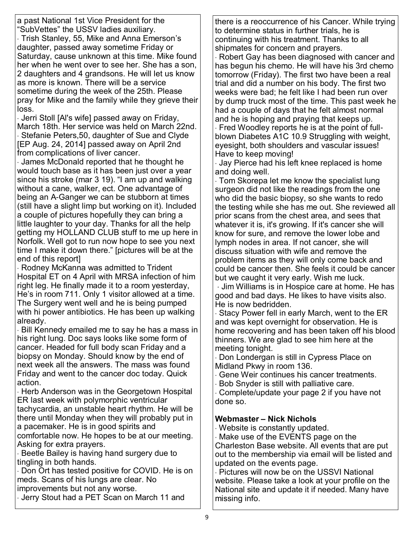a past National 1st Vice President for the "SubVettes" the USSV ladies auxiliary. · Trish Stanley, 55, Mike and Anna Emerson's daughter, passed away sometime Friday or Saturday, cause unknown at this time. Mike found her when he went over to see her. She has a son, 2 daughters and 4 grandsons. He will let us know as more is known. There will be a service sometime during the week of the 25th. Please pray for Mike and the family while they grieve their loss.

· Jerri Stoll [Al's wife] passed away on Friday, March 18th. Her service was held on March 22nd. · Stefanie Peters,50, daughter of Sue and Clyde [EP Aug. 24, 2014] passed away on April 2nd from complications of liver cancer.

· James McDonald reported that he thought he would touch base as it has been just over a year since his stroke (mar 3 19). "I am up and walking without a cane, walker, ect. One advantage of being an A-Ganger we can be stubborn at times (still have a slight limp but working on it). Included a couple of pictures hopefully they can bring a little laughter to your day. Thanks for all the help getting my HOLLAND CLUB stuff to me up here in Norfolk. Well got to run now hope to see you next time I make it down there." [pictures will be at the end of this report]

· Rodney McKanna was admitted to Trident Hospital ET on 4 April with MRSA infection of him right leg. He finally made it to a room yesterday, He's in room 711. Only 1 visitor allowed at a time. The Surgery went well and he is being pumped with hi power antibiotics. He has been up walking already.

· Bill Kennedy emailed me to say he has a mass in his right lung. Doc says looks like some form of cancer. Headed for full body scan Friday and a biopsy on Monday. Should know by the end of next week all the answers. The mass was found Friday and went to the cancer doc today. Quick action.

· Herb Anderson was in the Georgetown Hospital ER last week with polymorphic ventricular tachycardia, an unstable heart rhythm. He will be there until Monday when they will probably put in a pacemaker. He is in good spirits and

comfortable now. He hopes to be at our meeting. Asking for extra prayers.

· Beetle Bailey is having hand surgery due to tingling in both hands.

· Don Ort has tested positive for COVID. He is on meds. Scans of his lungs are clear. No improvements but not any worse.

· Jerry Stout had a PET Scan on March 11 and

there is a reoccurrence of his Cancer. While trying to determine status in further trials, he is continuing with his treatment. Thanks to all shipmates for concern and prayers.

· Robert Gay has been diagnosed with cancer and has begun his chemo. He will have his 3rd chemo tomorrow (Friday). The first two have been a real trial and did a number on his body. The first two weeks were bad; he felt like I had been run over by dump truck most of the time. This past week he had a couple of days that he felt almost normal and he is hoping and praying that keeps up.

· Fred Woodley reports he is at the point of fullblown Diabetes A1C 10.9 Struggling with weight, eyesight, both shoulders and vascular issues! Have to keep moving!

· Jay Pierce had his left knee replaced is home and doing well.

· Tom Skorepa let me know the specialist lung surgeon did not like the readings from the one who did the basic biopsy, so she wants to redo the testing while she has me out. She reviewed all prior scans from the chest area, and sees that whatever it is, it's growing. If it's cancer she will know for sure, and remove the lower lobe and lymph nodes in area. If not cancer, she will discuss situation with wife and remove the problem items as they will only come back and could be cancer then. She feels it could be cancer but we caught it very early. Wish me luck.

· Jim Williams is in Hospice care at home. He has good and bad days. He likes to have visits also. He is now bedridden.

· Stacy Power fell in early March, went to the ER and was kept overnight for observation. He is home recovering and has been taken off his blood thinners. We are glad to see him here at the meeting tonight.

· Don Londergan is still in Cypress Place on Midland Pkwy in room 136.

· Gene Weir continues his cancer treatments.

· Bob Snyder is still with palliative care.

· Complete/update your page 2 if you have not done so.

#### **Webmaster – Nick Nichols**

· Website is constantly updated.

· Make use of the EVENTS page on the Charleston Base website. All events that are put out to the membership via email will be listed and updated on the events page.

· Pictures will now be on the USSVI National website. Please take a look at your profile on the National site and update it if needed. Many have missing info.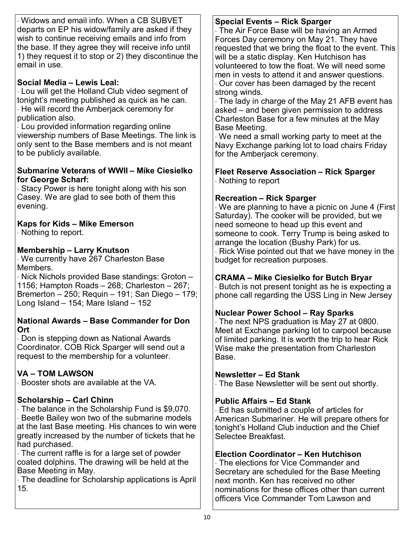· Widows and email info. When a CB SUBVET departs on EP his widow/family are asked if they wish to continue receiving emails and info from the base. If they agree they will receive info until 1) they request it to stop or 2) they discontinue the email in use.

#### **Social Media – Lewis Leal:**

· Lou will get the Holland Club video segment of tonight's meeting published as quick as he can. · He will record the Amberjack ceremony for publication also.

· Lou provided information regarding online viewership numbers of Base Meetings. The link is only sent to the Base members and is not meant to be publicly available.

#### **Submarine Veterans of WWII – Mike Ciesielko for George Scharf:**

· Stacy Power is here tonight along with his son Casey. We are glad to see both of them this evening.

#### **Kaps for Kids – Mike Emerson**

· Nothing to report.

#### **Membership – Larry Knutson**

· We currently have 267 Charleston Base Members.

· Nick Nichols provided Base standings: Groton – 1156; Hampton Roads – 268; Charleston – 267; Bremerton – 250; Requin – 191; San Diego – 179; Long Island  $-$  154; Mare Island  $-$  152

#### **National Awards – Base Commander for Don Ort**

· Don is stepping down as National Awards Coordinator. COB Rick Sparger will send out a request to the membership for a volunteer.

### **VA – TOM LAWSON**

· Booster shots are available at the VA.

#### **Scholarship – Carl Chinn**

· The balance in the Scholarship Fund is \$9,070. · Beetle Bailey won two of the submarine models at the last Base meeting. His chances to win were greatly increased by the number of tickets that he had purchased.

· The current raffle is for a large set of powder coated dolphins. The drawing will be held at the Base Meeting in May.

· The deadline for Scholarship applications is April 15.

#### **Special Events – Rick Sparger**

· The Air Force Base will be having an Armed Forces Day ceremony on May 21. They have requested that we bring the float to the event. This will be a static display. Ken Hutchison has volunteered to tow the float. We will need some men in vests to attend it and answer questions. · Our cover has been damaged by the recent strong winds.

· The lady in charge of the May 21 AFB event has asked – and been given permission to address Charleston Base for a few minutes at the May Base Meeting.

· We need a small working party to meet at the Navy Exchange parking lot to load chairs Friday for the Amberjack ceremony.

**Fleet Reserve Association – Rick Sparger**  · Nothing to report

#### **Recreation – Rick Sparger**

· We are planning to have a picnic on June 4 (First Saturday). The cooker will be provided, but we need someone to head up this event and someone to cook. Terry Trump is being asked to arrange the location (Bushy Park) for us. · Rick Wise pointed out that we have money in the budget for recreation purposes.

#### **CRAMA – Mike Ciesielko for Butch Bryar**

· Butch is not present tonight as he is expecting a phone call regarding the USS Ling in New Jersey

#### **Nuclear Power School – Ray Sparks**

· The next NPS graduation is May 27 at 0800. Meet at Exchange parking lot to carpool because of limited parking. It is worth the trip to hear Rick Wise make the presentation from Charleston Base.

#### **Newsletter – Ed Stank**

· The Base Newsletter will be sent out shortly.

#### **Public Affairs – Ed Stank**

· Ed has submitted a couple of articles for American Submariner. He will prepare others for tonight's Holland Club induction and the Chief Selectee Breakfast.

#### **Election Coordinator – Ken Hutchison**

· The elections for Vice Commander and Secretary are scheduled for the Base Meeting next month. Ken has received no other nominations for these offices other than current officers Vice Commander Tom Lawson and